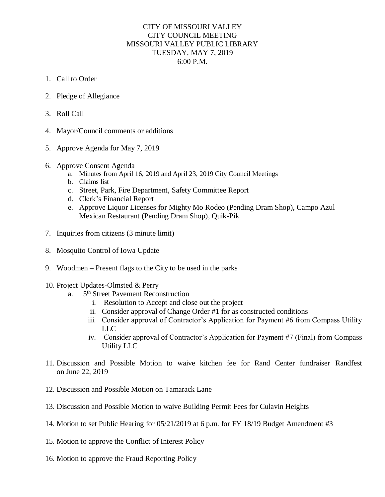## CITY OF MISSOURI VALLEY CITY COUNCIL MEETING MISSOURI VALLEY PUBLIC LIBRARY TUESDAY, MAY 7, 2019 6:00 P.M.

- 1. Call to Order
- 2. Pledge of Allegiance
- 3. Roll Call
- 4. Mayor/Council comments or additions
- 5. Approve Agenda for May 7, 2019
- 6. Approve Consent Agenda
	- a. Minutes from April 16, 2019 and April 23, 2019 City Council Meetings
	- b. Claims list
	- c. Street, Park, Fire Department, Safety Committee Report
	- d. Clerk's Financial Report
	- e. Approve Liquor Licenses for Mighty Mo Rodeo (Pending Dram Shop), Campo Azul Mexican Restaurant (Pending Dram Shop), Quik-Pik
- 7. Inquiries from citizens (3 minute limit)
- 8. Mosquito Control of Iowa Update
- 9. Woodmen Present flags to the City to be used in the parks
- 10. Project Updates-Olmsted & Perry
	- $a<sub>1</sub>$ 5<sup>th</sup> Street Pavement Reconstruction
		- i. Resolution to Accept and close out the project
		- ii. Consider approval of Change Order #1 for as constructed conditions
		- iii. Consider approval of Contractor's Application for Payment #6 from Compass Utility LLC
		- iv. Consider approval of Contractor's Application for Payment #7 (Final) from Compass Utility LLC
- 11. Discussion and Possible Motion to waive kitchen fee for Rand Center fundraiser Randfest on June 22, 2019
- 12. Discussion and Possible Motion on Tamarack Lane
- 13. Discussion and Possible Motion to waive Building Permit Fees for Culavin Heights
- 14. Motion to set Public Hearing for 05/21/2019 at 6 p.m. for FY 18/19 Budget Amendment #3
- 15. Motion to approve the Conflict of Interest Policy
- 16. Motion to approve the Fraud Reporting Policy